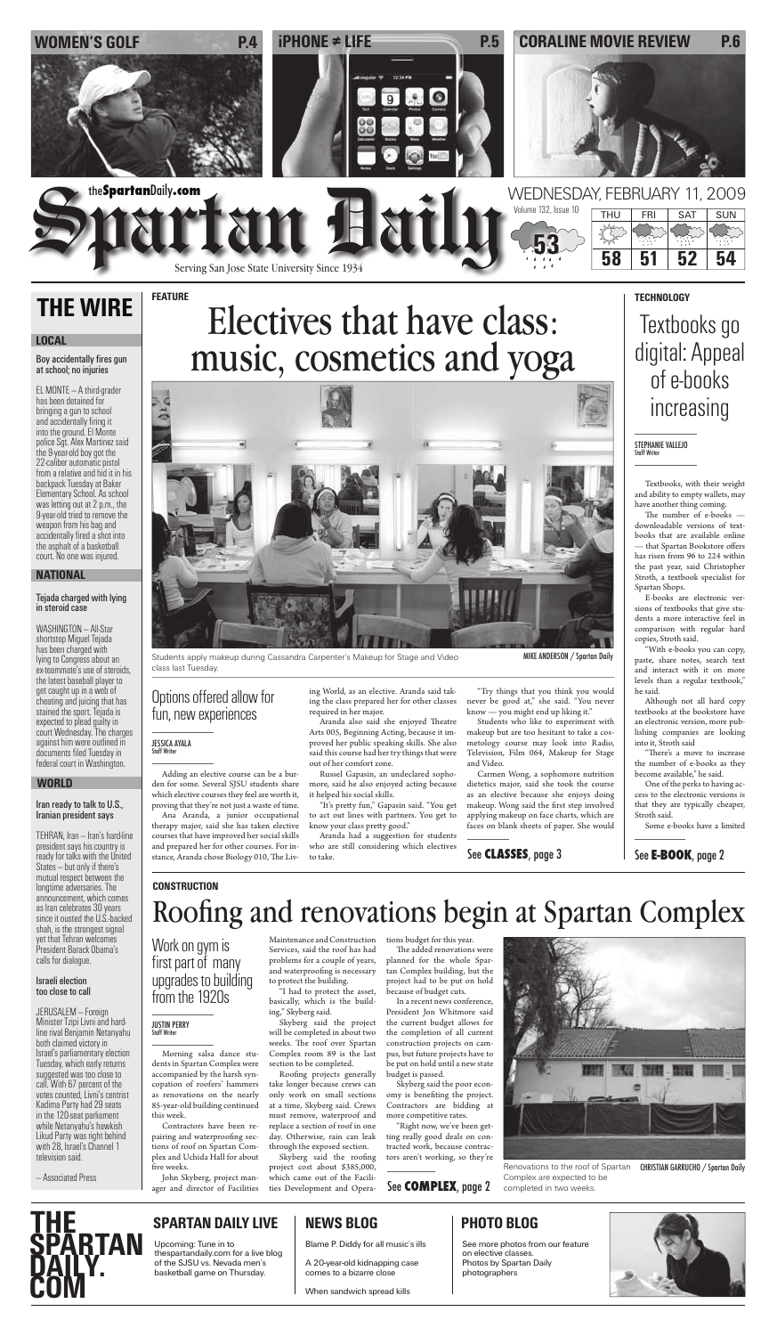Textbooks, with their weight and ability to empty wallets, may have another thing coming.

The number of e-books downloadable versions of textbooks that are available online — that Spartan Bookstore offers has risen from 96 to 224 within the past year, said Christopher Stroth, a textbook specialist for Spartan Shops.

E-books are electronic versions of textbooks that give students a more interactive feel in comparison with regular hard copies, Stroth said.

"There's a move to increase the number of e-books as they become available," he said.

"With e-books you can copy, paste, share notes, search text and interact with it on more levels than a regular textbook," he said.

Although not all hard copy textbooks at the bookstore have an electronic version, more publishing companies are looking into it, Stroth said

#### Boy accidentally fires gun at school; no injuries

One of the perks to having access to the electronic versions is that they are typically cheaper, Stroth said.

Some e-books have a limited

# Textbooks go digital: Appeal of e-books increasing

## STEPHANIE VALLEJO

See **E-BOOK**, page 2



Students apply makeup during Cassandra Carpenter's Makeup for Stage and Video class last Tuesday.

MIKE ANDERSON / Spartan Daily

Upcoming: Tune in to thespartandaily.com for a live blog of the SJSU vs. Nevada men's basketball game on Thursday.

## **SPARTAN DAILY LIVE**

Blame P. Diddy for all music's ills

A 20-year-old kidnapping case comes to a bizarre close

When sandwich spread kills

## **NEWS BLOG**

EL MONTE — A third-grader has been detained for bringing a gun to school and accidentally firing it into the ground. El Monte police Sgt. Alex Martinez said the 9-year-old boy got the 22-caliber automatic pistol from a relative and hid it in his backpack Tuesday at Baker Elementary School. As school was letting out at 2 p.m., the 9-year-old tried to remove the weapon from his bag and accidentally fired a shot into the asphalt of a basketball court. No one was injured.

# **THE WIRE FEATURE T1ectives** that have class. Technology Electives that have class: music, cosmetics and yoga

Contractors have been repairing and waterproofing sections of roof on Spartan Complex and Uchida Hall for about five weeks.

#### Tejada charged with lying in steroid case

WASHINGTON — All-Star shortstop Miguel Tejada has been charged with lying to Congress about an ex-teammate's use of steroids, the latest baseball player to get caught up in a web of cheating and juicing that has stained the sport. Tejada is expected to plead guilty in court Wednesday. The charges against him were outlined in documents filed Tuesday in federal court in Washington.

> Roofing projects generally take longer because crews can only work on small sections at a time, Skyberg said. Crews must remove, waterproof and replace a section of roof in one day. Otherwise, rain can leak through the exposed section.

Skyberg said the roofing project cost about \$385,000, which came out of the Facilities Development and Opera-

#### Iran ready to talk to U.S., Iranian president says

The added renovations were planned for the whole Spartan Complex building, but the project had to be put on hold because of budget cuts.

TEHRAN, Iran — Iran's hard-line president says his country is ready for talks with the United States — but only if there's mutual respect between the longtime adversaries. The announcement, which comes as Iran celebrates 30 years since it ousted the U.S.-backed shah, is the strongest signal yet that Tehran welcomes President Barack Obama's calls for dialogue.

Adding an elective course can be a burden for some. Several SJSU students share which elective courses they feel are worth it, proving that they're not just a waste of time. Ana Aranda, a junior occupational therapy major, said she has taken elective courses that have improved her social skills and prepared her for other courses. For instance, Aranda chose Biology 010, The Liv-

#### Israeli election too close to call

Aranda also said she enjoyed Theatre Arts 005, Beginning Acting, because it improved her public speaking skills. She also said this course had her try things that were out of her comfort zone.

JERUSALEM — Foreign Minister Tzipi Livni and hardline rival Benjamin Netanyahu both claimed victory in Israel's parliamentary election Tuesday, which early returns suggested was too close to call. With 67 percent of the votes counted, Livni's centrist Kadima Party had 29 seats in the 120-seat parliament while Netanyahu's hawkish Likud Party was right behind with 28, Israel's Channel 1 television said.

— Associated Press



# **CONSTRUCTION** Roofing and renovations begin at Spartan Complex

See more photos from our feature on elective classes. Photos by Spartan Daily photographers



## **PHOTO BLOG**

Morning salsa dance students in Spartan Complex were accompanied by the harsh syncopation of roofers' hammers as renovations on the nearly 85-year-old building continued this week.

John Skyberg, project manager and director of Facilities

Maintenance and Construction Services, said the roof has had problems for a couple of years, and waterproofing is necessary to protect the building.

"I had to protect the asset, basically, which is the building," Skyberg said.

Skyberg said the project will be completed in about two weeks. The roof over Spartan Complex room 89 is the last section to be completed.

tions budget for this year.

In a recent news conference, President Jon Whitmore said the current budget allows for the completion of all current construction projects on campus, but future projects have to be put on hold until a new state budget is passed.

Skyberg said the poor economy is benefiting the project. Contractors are bidding at more competitive rates.



"Right now, we've been getting really good deals on contracted work, because contractors aren't working, so they're

ing World, as an elective. Aranda said taking the class prepared her for other classes required in her major.

Russel Gapasin, an undeclared sophomore, said he also enjoyed acting because it helped his social skills.

"It's pretty fun," Gapasin said. "You get to act out lines with partners. You get to know your class pretty good."

Aranda had a suggestion for students who are still considering which electives to take.

#### "Try things that you think you would never be good at," she said. "You never know — you might end up liking it."

Students who like to experiment with makeup but are too hesitant to take a cosmetology course may look into Radio, Television, Film 064, Makeup for Stage and Video.

Carmen Wong, a sophomore nutrition

dietetics major, said she took the course as an elective because she enjoys doing makeup. Wong said the first step involved applying makeup on face charts, which are faces on blank sheets of paper. She would

See **CLASSES**, page 3

See **COMPLEX**, page 2

Options offered allow for

fun, new experiences

## Work on gym is first part of many upgrades to building from the 1920s

# Staff Writer

**JESSICA AYALA** 

#### **LOCAL**

#### **NATIONAL**

#### **WORLD**

Renovations to the roof of Spartan Complex are expected to be completed in two weeks.

CHRISTIAN GARRUCHO / Spartan Daily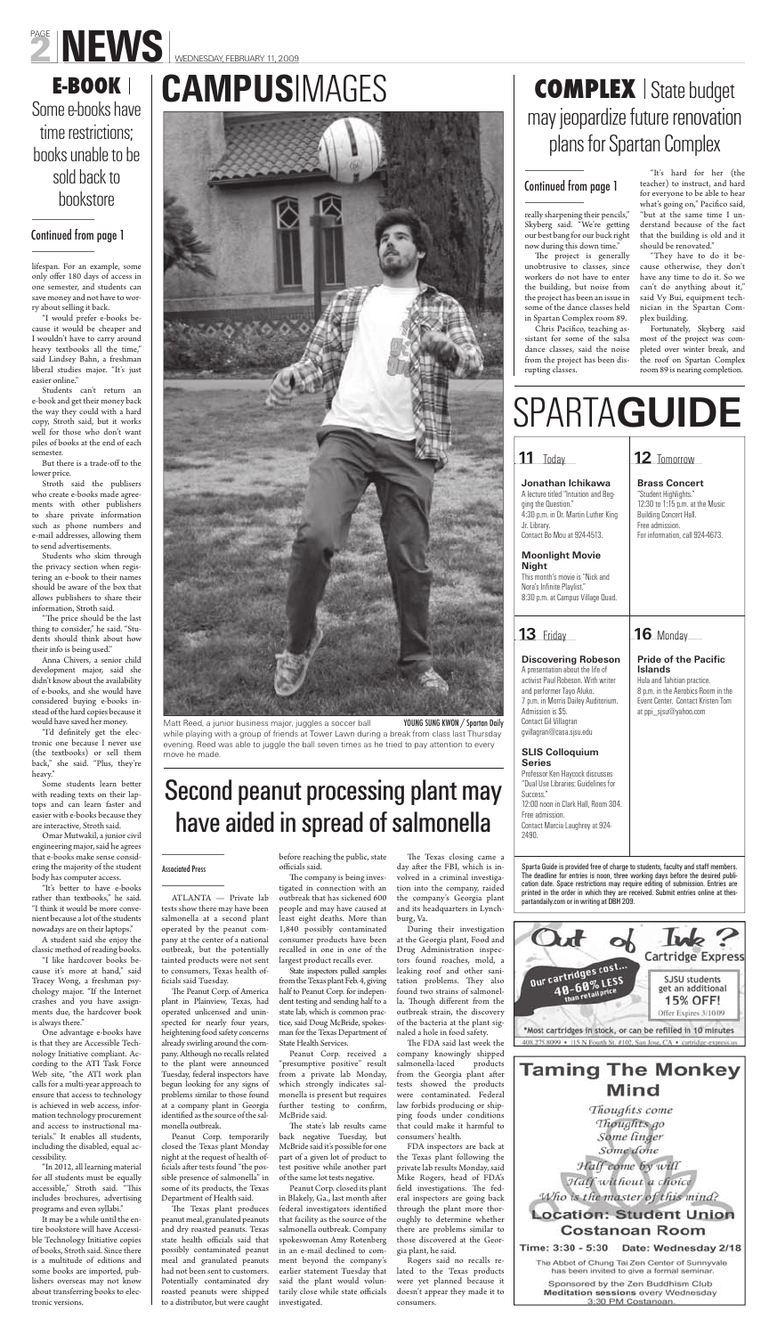ATLANTA — Private lab tests show there may have been salmonella at a second plant operated by the peanut company at the center of a national outbreak, but the potentially tainted products were not sent to consumers, Texas health of-

The Peanut Corp. of America plant in Plainview, Texas, had operated unlicensed and uninspected for nearly four years, heightening food safety concerns already swirling around the company. Although no recalls related to the plant were announced Tuesday, federal inspectors have begun looking for any signs of problems similar to those found at a company plant in Georgia identified as the source of the salbefore reaching the public, state officials said.

monella outbreak.

The company is being investigated in connection with an outbreak that has sickened 600 people and may have caused at least eight deaths. More than 1,840 possibly contaminated consumer products have been recalled in one in one of the largest product recalls ever.

Peanut Corp. temporarily closed the Texas plant Monday night at the request of health officials after tests found "the possible presence of salmonella" in some of its products, the Texas Department of Health said. The Texas plant produces peanut meal, granulated peanuts and dry roasted peanuts. Texas state health officials said that possibly contaminated peanut meal and granulated peanuts had not been sent to customers. Potentially contaminated dry roasted peanuts were shipped to a distributor, but were caught

ficials said Tuesday.

The state's lab results came back negative Tuesday, but McBride said it's possible for one part of a given lot of product to test positive while another part of the same lot tests negative.

The Texas closing came a day after the FBI, which is involved in a criminal investigation into the company, raided the company's Georgia plant and its headquarters in Lynchburg, Va.

The FDA said last week the company knowingly shipped salmonella-laced products from the Georgia plant after tests showed the products were contaminated. Federal law forbids producing or shipping foods under conditions that could make it harmful to consumers' health.

State inspectors pulled samples from the Texas plant Feb. 4, giving half to Peanut Corp. for independent testing and sending half to a state lab, which is common practice, said Doug McBride, spokesman for the Texas Department of State Health Services.

Peanut Corp. received a "presumptive positive" result from a private lab Monday, which strongly indicates salmonella is present but requires further testing to confirm, McBride said.

The project is generally unobtrusive to classes, since workers do not have to enter the building, but noise from the project has been an issue in some of the dance classes held in Spartan Complex room 89.

Chris Pacifico, teaching assistant for some of the salsa dance classes, said the noise from the project has been disrupting classes.

Peanut Corp. closed its plant in Blakely, Ga., last month after federal investigators identified that facility as the source of the salmonella outbreak. Company spokeswoman Amy Rotenberg in an e-mail declined to comment beyond the company's earlier statement Tuesday that said the plant would voluntarily close while state officials investigated.

# PAGE NEWS WEDNESDAY, FEBRUARY 11, 2009 **E-BOOK** Some e-books have time restrictions; books unable to be sold back to bookstore

# **COMPLEX** State budget may jeopardize future renovation plans for Spartan Complex

During their investigation at the Georgia plant, Food and Drug Administration inspectors found roaches, mold, a leaking roof and other sanitation problems. They also found two strains of salmonella. Though different from the outbreak strain, the discovery of the bacteria at the plant signaled a hole in food safety.

FDA inspectors are back at the Texas plant following the private lab results Monday, said Mike Rogers, head of FDA's field investigations. The federal inspectors are going back through the plant more thoroughly to determine whether there are problems similar to those discovered at the Georgia plant, he said.

Rogers said no recalls related to the Texas products were yet planned because it doesn't appear they made it to consumers.

"The price should be the last thing to consider," he said. "Students should think about how their info is being used."

really sharpening their pencils," Skyberg said. "We're getting our best bang for our buck right now during this down time."

"I'd definitely get the electronic one because I never use (the textbooks) or sell them back," she said. "Plus, they're heavy."

Some students learn better with reading texts on their laptops and can learn faster and easier with e-books because they are interactive, Stroth said.

"It's better to have e-books rather than textbooks," he said. "I think it would be more convenient because a lot of the students nowadays are on their laptops."

"It's hard for her (the teacher) to instruct, and hard for everyone to be able to hear what's going on," Pacifico said, "but at the same time I understand because of the fact that the building is old and it should be renovated."

"They have to do it because otherwise, they don't have any time to do it. So we can't do anything about it," said Vy Bui, equipment technician in the Spartan Complex building.

Fortunately, Skyberg said most of the project was completed over winter break, and the roof on Spartan Complex room 89 is nearing completion.

# Second peanut processing plant may have aided in spread of salmonella

Admission is \$5. Contact Gil Villagran gvillagran@casa.sjsu.edu **SLIS Colloquium** 

**Series**

Professor Ken Haycock discusses

"Dual Use Libraries: Guidelines for Success." 12:00 noon in Clark Hall, Room 304. Free admission. Contact Marcia Laughrey at 924- 2490.

#### **Jonathan Ichikawa** A lecture titled "Intuition and Begging the Question." 4:30 p.m. in Dr. Martin Luther King Jr. Library. Contact Bo Mou at 924-4513. **Moonlight Movie Night** This month's movie is "Nick and Nora's Infinite Playlist." 8:30 p.m. at Campus Village Quad. **Discovering Robeson** A presentation about the life of activist Paul Robeson. With writer and performer Tayo Aluko. 7 p.m. in Morris Dailey Auditorium. **Brass Concert** "Student Highlights." 12:30 to 1:15 p.m. at the Music Building Concert Hall. Free admission. For information, call 924-4673. **Pride of the Pacific Islands** Hula and Tahitian practice. 8 p.m. in the Aerobics Room in the **11** Today **13** Friday **12** Tomorrow **16** Monday SPARTA**GUIDE**

Event Center. Contact Kristen Tom at ppi\_sjsu@yahoo.com

Sparta Guide is provided free of charge to students, faculty and staff members. The deadline for entries is noon, three working days before the desired publication date. Space restrictions may require editing of submission. Entries are printed in the order in which they are received. Submit entries online at thespartandaily.com or in writing at DBH 209.



# **Taming The Monkey** Mind

Thoughts come Thoughts go Some finger Some done Half come by will Half without a choice Who is the master of this mind? **Location: Student Union Costanoan Room** Time: 3:30 - 5:30 Date: Wednesday 2/18

The Abbot of Chung Tai Zen Center of Sunnyvale has been invited to give a formal seminar.

Sponsored by the Zen Buddhism Club Meditation sessions every Wednesday 3:30 PM Costanoan.

lifespan. For an example, some only offer 180 days of access in one semester, and students can save money and not have to worry about selling it back.

"I would prefer e-books because it would be cheaper and I wouldn't have to carry around heavy textbooks all the time," said Lindsey Bahn, a freshman liberal studies major. "It's just easier online."

Students can't return an e-book and get their money back the way they could with a hard copy, Stroth said, but it works well for those who don't want piles of books at the end of each semester.

But there is a trade-off to the lower price.

Stroth said the publisers who create e-books made agreements with other publishers to share private information such as phone numbers and e-mail addresses, allowing them to send advertisements.

Students who skim through the privacy section when registering an e-book to their names should be aware of the box that allows publishers to share their information, Stroth said.

Anna Chivers, a senior child development major, said she didn't know about the availability of e-books, and she would have considered buying e-books instead of the hard copies because it would have saved her money.

Omar Mutwakil, a junior civil engineering major, said he agrees that e-books make sense considering the majority of the student body has computer access.

A student said she enjoy the classic method of reading books.

"I like hardcover books because it's more at hand," said Tracey Wong, a freshman psychology major. "If the Internet crashes and you have assignments due, the hardcover book is always there."

One advantage e-books have is that they are Accessible Technology Initiative compliant. According to the ATI Task Force Web site, "the ATI work plan calls for a multi-year approach to ensure that access to technology is achieved in web access, information technology procurement and access to instructional materials." It enables all students, including the disabled, equal accessibility.

"In 2012, all learning material for all students must be equally accessible," Stroth said. "This includes brochures, advertising programs and even syllabi."

It may be a while until the entire bookstore will have Accessible Technology Initiative copies of books, Stroth said. Since there is a multitude of editions and some books are imported, publishers overseas may not know about transferring books to electronic versions.

#### Continued from page 1

#### Continued from page 1

# **CAMPUS**IMAGES



#### Matt Reed, a junior business major, juggles a soccer ball while playing with a group of friends at Tower Lawn during a break from class last Thursday while playing with a group of friends at Tower Lawn during a break from class last Thursday evening. Reed was able to juggle the ball seven times as he tried to pay attention to every move he made.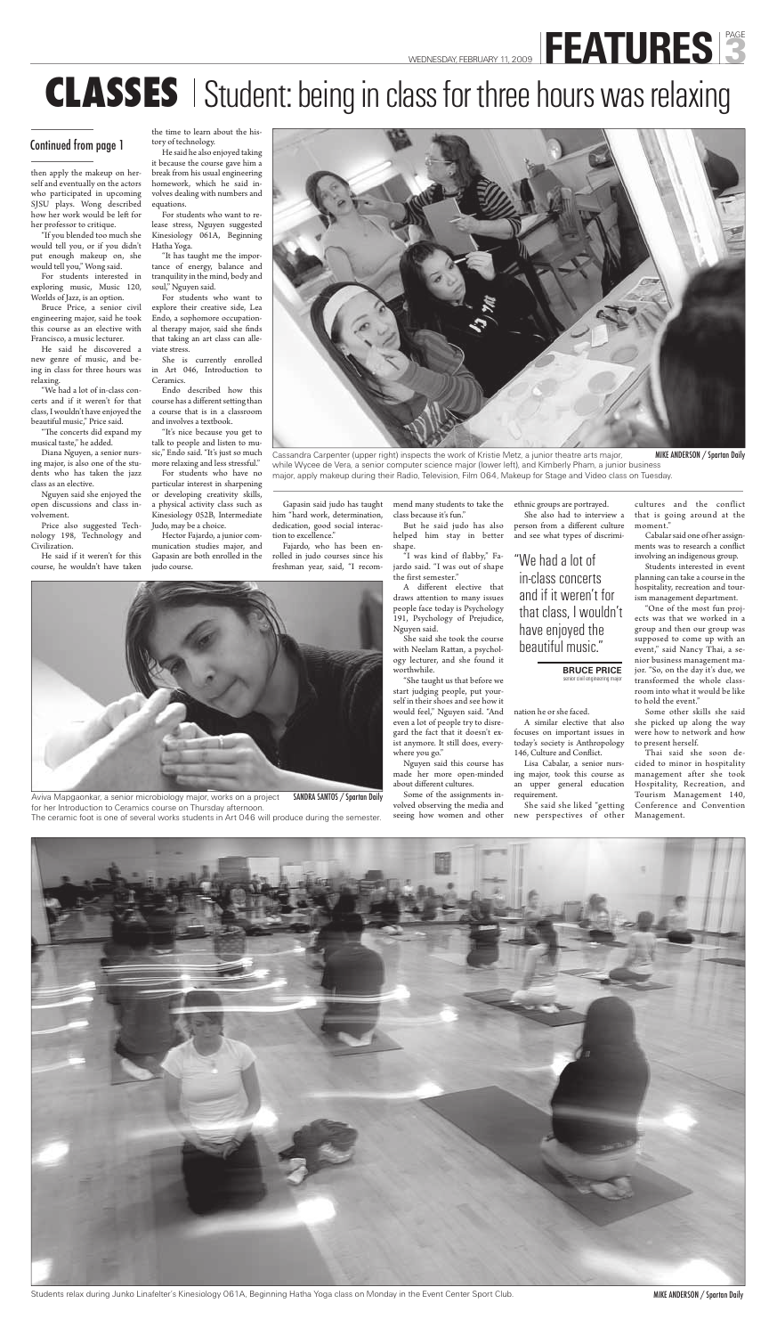# WEDNESDAY, FEBRUARY 11, 2009 **FEATURES**

# **CLASSES** Student: being in class for three hours was relaxing

then apply the makeup on herself and eventually on the actors who participated in upcoming SJSU plays. Wong described how her work would be left for her professor to critique.

"If you blended too much she would tell you, or if you didn't put enough makeup on, she would tell you," Wong said.

For students interested in exploring music, Music 120, Worlds of Jazz, is an option.

"The concerts did expand my musical taste," he added.

Bruce Price, a senior civil engineering major, said he took this course as an elective with Francisco, a music lecturer.

He said he discovered a new genre of music, and being in class for three hours was relaxing.

"We had a lot of in-class concerts and if it weren't for that class, I wouldn't have enjoyed the beautiful music," Price said.

Diana Nguyen, a senior nursing major, is also one of the students who has taken the jazz class as an elective.

Nguyen said she enjoyed the open discussions and class involvement.

Price also suggested Technology 198, Technology and Civilization.

He said if it weren't for this course, he wouldn't have taken

the time to learn about the history of technology.

He said he also enjoyed taking it because the course gave him a break from his usual engineering homework, which he said involves dealing with numbers and equations.

For students who want to release stress, Nguyen suggested Kinesiology 061A, Beginning Hatha Yoga.

> A different elective that draws attention to many issues people face today is Psychology 191, Psychology of Prejudice, Nguyen said.

"It has taught me the importance of energy, balance and tranquility in the mind, body and soul," Nguyen said.

For students who want to explore their creative side, Lea Endo, a sophomore occupational therapy major, said she finds that taking an art class can alleviate stress.

> person from a different culture and see what types of discrimi-

> A similar elective that also focuses on important issues in today's society is Anthropology 146, Culture and Conflict.

She is currently enrolled in Art 046, Introduction to Ceramics.

Endo described how this course has a different setting than a course that is in a classroom and involves a textbook.

"It's nice because you get to talk to people and listen to music," Endo said. "It's just so much more relaxing and less stressful."

For students who have no particular interest in sharpening or developing creativity skills, a physical activity class such as Kinesiology 052B, Intermediate Judo, may be a choice.

Hector Fajardo, a junior communication studies major, and Gapasin are both enrolled in the judo course.



Gapasin said judo has taught him "hard work, determination, dedication, good social interaction to excellence."

#### **BRUCE PRICE** senior civil engineering majo

Fajardo, who has been enrolled in judo courses since his freshman year, said, "I recommend many students to take the class because it's fun."

But he said judo has also helped him stay in better

shape. "I was kind of flabby," Fajardo said. "I was out of shape the first semester."

She said she took the course with Neelam Rattan, a psychology lecturer, and she found it worthwhile.

"She taught us that before we start judging people, put yourself in their shoes and see how it would feel," Nguyen said. "And even a lot of people try to disregard the fact that it doesn't exist anymore. It still does, everywhere you go."

Nguyen said this course has made her more open-minded

Some of the assignments involved observing the media and seeing how women and other

ethnic groups are portrayed. She also had to interview a

nation he or she faced.

Lisa Cabalar, a senior nursing major, took this course as management after she took an upper general education Hospitality, Recreation, and requirement.

She said she liked "getting new perspectives of other



Students relax during Junko Linafelter's Kinesiology 061A, Beginning Hatha Yoga class on Monday in the Event Center Sport Club. MIKE ANDERSON / Spartan Daily

cultures and the conflict that is going around at the moment."

Cabalar said one of her assignments was to research a conflict involving an indigenous group.

Students interested in event planning can take a course in the hospitality, recreation and tourism management department.

"One of the most fun projects was that we worked in a group and then our group was supposed to come up with an event," said Nancy Thai, a senior business management major. "So, on the day it's due, we transformed the whole classroom into what it would be like to hold the event."

Some other skills she said she picked up along the way were how to network and how to present herself.

Thai said she soon decided to minor in hospitality Tourism Management 140, Conference and Convention Management.



"We had a lot of in-class concerts and if it weren't for that class, I wouldn't have enjoyed the beautiful music."

#### Continued from page 1

Aviva Mapgaonkar, a senior microbiology major, works on a project for her Introduction to Ceramics course on Thursday afternoon. SANDRA SANTOS / Spartan Daily

The ceramic foot is one of several works students in Art 046 will produce during the semester.

about different cultures.

Cassandra Carpenter (upper right) inspects the work of Kristie Metz, a junior theatre arts major, while Wycee de Vera, a senior computer science major (lower left), and Kimberly Pham, a junior business major, apply makeup during their Radio, Television, Film 064, Makeup for Stage and Video class on Tuesday. MIKE ANDERSON / Spartan Daily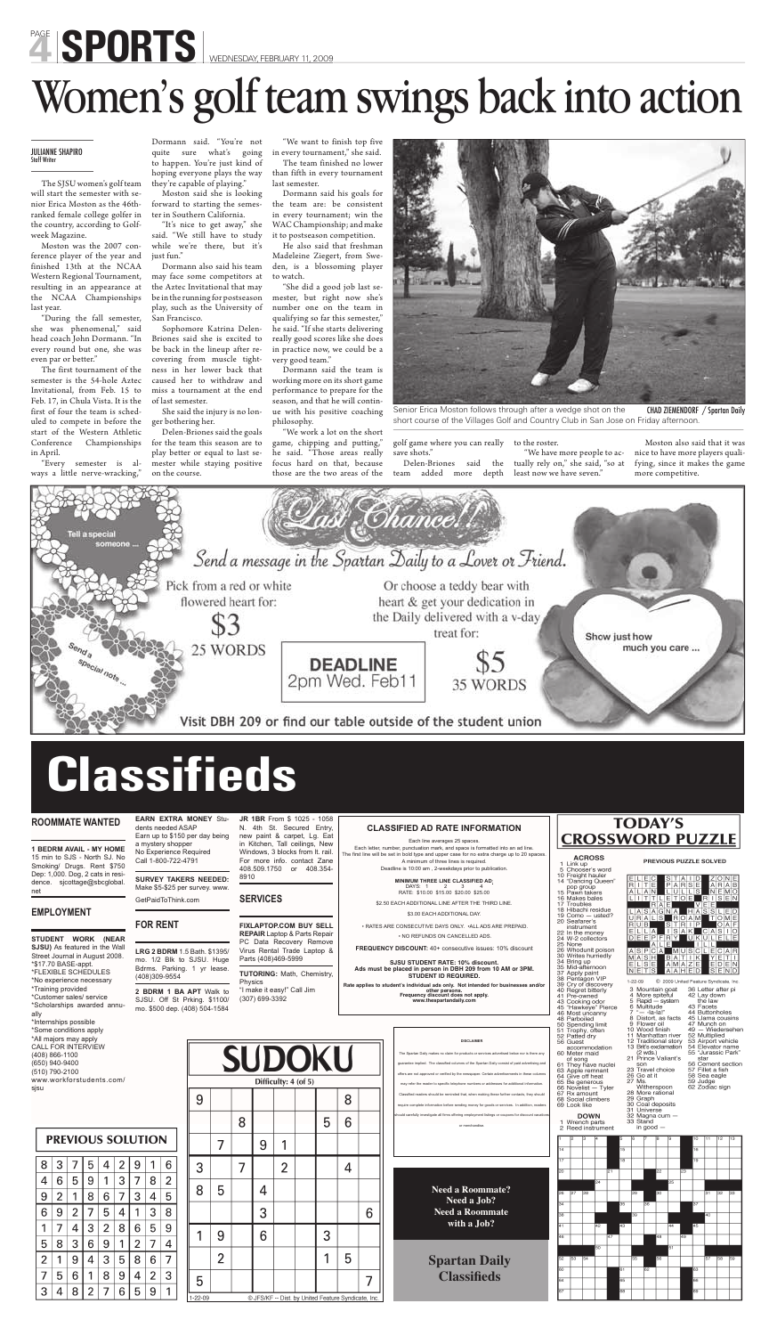# PAGE SPORTS WEDNESDAY, FEBRUARY 11, 2009 Women's golf team swings back into action

## **JULIANNE SHAPIRO**<br>Staff Writer

# **Classifieds**

#### **ROOMMATE WANTED**

**STUDENT WORK (NEAR SJSU)** As featured in the Wall Street Journal in August 2008. \*\$17.70 BASE-appt. \*FLEXIBLE SCHEDULES \*No experience necessary \*Training provided \*Customer sales/ service \*Scholarships awarded annually \*Internships possible \*Some conditions apply \*All majors may apply CALL FOR INTERVIEW (408) 866-1100 (650) 940-9400 (510) 790-2100 www.workforstudents.com/ sisu

8 3

4 6

9  $\overline{2}$ 

6 9

1

5 8

 $\overline{2}$ 1 9  $\overline{4}$ 3 5

 $\overline{7}$ 5 6  $\mathbf{1}$ 8  $9$ 

3

 $\overline{7}$ 

4 8  $\overline{2}$ 

3

 $\overline{4}$ 1

 $\mathbf{1}$ 

5

9

7

3

5  $\overline{4}$ 

8 6  $\overline{7}$ 

7

3  $\overline{2}$ 8

6 9  $\mathbf{1}$  $\overline{2}$ 

 $\overline{2}$ 

7 6 5

7

5 9

 $\mathbf{1}$  $\overline{2}$ 

 $\overline{4}$ 

3

**1 BEDRM AVAIL - MY HOME**  15 min to SJS - North SJ. No Smoking/ Drugs. Rent \$750 Dep: 1,000. Dog, 2 cats in residence. sjcottage@sbcglobal. net

#### **EMPLOYMENT**

**EARN EXTRA MONEY** Students needed ASAP Earn up to \$150 per day being a mystery shopper No Experience Required Call 1-800-722-4791

> **SURVEY TAKERS NEEDED:**  Make \$5-\$25 per survey. www.

GetPaidToThink.com

#### **FOR RENT**

**LRG 2 BDRM** 1.5 Bath. \$1395/ mo. 1/2 Blk to SJSU. Huge Bdrms. Parking. 1 yr lease. (408)309-9554

**2 BDRM 1 BA APT** Walk to SJSU. Off St Prking. \$1100/ mo. \$500 dep. (408) 504-1584

**JR 1BR** From \$ 1025 - 1058

| N. 4th St. Secured Entry,        |
|----------------------------------|
| new paint & carpet, Lg. Eat      |
| in Kitchen, Tall ceilings, New   |
| Windows, 3 blocks from It. rail. |
| For more info, contact Zane      |
| 408.509.1750 or 408.354-         |
| 8910                             |

#### **SERVICES**

#### **FIXLAPTOP.COM BUY SELL REPAIR** Laptop & Parts Repair PC Data Recovery Remove Virus Rental Trade Laptop & Parts (408)469-5999

**TUTORING:** Math, Chemistry, Physics "I make it easy!" Call Jim (307) 699-3392

Each line averages 25 spaces. Each letter, number, punctuation mark, and space is formatted into an ad line. The first line will be set in bold type and upper case for no extra charge up to 20 spaces. A minimum of three lines is required.

Deadline is 10:00 am , 2-weekdays prior to publication.

**MINIMUM THREE LINE CLASSIFIED AD**: DAYS: 1 2 3 4 RATE: \$10.00 \$15.00 \$20.00 \$25.00

\$2.50 EACH ADDITIONAL LINE AFTER THE THIRD LINE.

\$3.00 EACH ADDITIONAL DAY.

• RATES ARE CONSECUTIVE DAYS ONLY. •ALL ADS ARE PREPAID.

• NO REFUNDS ON CANCELLED ADS.

**FREQUENCY DISCOUNT:** 40+ consecutive issues: 10% discount

**SJSU STUDENT RATE: 10% discount. Ads must be placed in person in DBH 209 from 10 AM or 3PM. STUDENT ID REQUIRED.** 

Rate applies to student's individual ads only. Not intended for businesses and/or<br>other persons.<br>Frequency discount does not apply.<br>www.thespartandaily.com

| <b>DISCLAIMER</b>                                                                                     |
|-------------------------------------------------------------------------------------------------------|
| The Spartan Daily makes no claim for products or services advertised below nor is there any           |
| guarantee implied. The classified columns of the Spartan Daily consist of paid advertising and        |
| offers are not approved or verified by the newspaper. Certain advertisements in these columns         |
| may refer the reader to specific telephone numbers or addresses for additional information.           |
| Classified readers should be reminded that, when making these further contacts, they should           |
| require complete information before sending money for goods or services. In addition, readers         |
| should carefully investigate all firms offering employment listings or coupons for discount vacations |
| or merchandise.                                                                                       |

**Need a Roommate? Need a Job? Need a Roommate with a Job?**

6

7



short course of the Villages Golf and Country Club in San Jose on Friday afternoon. Senior Erica Moston follows through after a wedge shot on the

#### **Spartan Daily Classifieds**

## **TODAY'S CROSSWORD PUZZLE**

#### **ACROSS** PREVIOUS PUZZLE SOLVED Link up<br>Chooser's word

| ັ        | <b>OTIODOOL O WOL</b><br>10 Freight hauler |                          |
|----------|--------------------------------------------|--------------------------|
|          | 14 "Dancing Queen"                         | R                        |
|          | pop group<br>15 Pawn takers                | A                        |
|          | 16 Makes bales                             |                          |
|          | 17 Troubles                                |                          |
|          | 18 Hibachi residue<br>19 Como - usted?     | Ļ                        |
| 20       | Seafarer's                                 | U                        |
|          | instrument                                 | R                        |
|          | 22 In the money                            | E                        |
|          | 24 W-2 collectors                          | D                        |
|          | 25 None                                    |                          |
| 30       | 26 Whodunit poison<br>Writes hurriedly     | Α                        |
|          | 34 Bring up                                | M                        |
| 35       | Mid-afternoon                              | Έ                        |
| 37       | Apply paint                                | N                        |
| 38       | Pentagon VIP                               | $1 - 2$                  |
| 40       | 39 Cry of discovery<br>Regret bitterly     | 3                        |
| 41       | Pre-owned                                  | $\overline{\mathcal{L}}$ |
| 43       | Cooking odor                               | $\frac{5}{6}$            |
| 45       | "Hawkeye" Pierce                           | 7                        |
| 46<br>48 | Most uncanny<br>Parboiled                  | 8                        |
| 50       | Spending limit                             | 9                        |
| 51       | Trophy, often                              | 10                       |
| 52       | Patted dry                                 | 11                       |
| 56       | Guest                                      | 12<br>13                 |
| 60       | accommodation<br>Meter maid                |                          |
|          | of song                                    | 21                       |
| 61       | They have nuclei                           |                          |
| 63       | Apple remnant                              | 23                       |
|          | 64 Give off heat                           | 26<br>27                 |
|          | 65 Be generous<br>66 Novelist - Tyler      |                          |
|          | 67 Rx amount                               | 28                       |
| 68       | Social climbers                            | 29                       |
| 69       | Look like                                  | 30<br>31                 |
|          | <b>DOWN</b>                                | 32                       |
|          | 1 Wrench parts                             | 33                       |
|          | 2 Dood instrum                             |                          |

|          |   | F |                                       |   |   |   | S | F |   | Δ |   | Δ |  |
|----------|---|---|---------------------------------------|---|---|---|---|---|---|---|---|---|--|
|          | А | N |                                       |   | Н |   |   | S |   | Ν | ⊢ | M |  |
|          |   |   |                                       |   |   |   |   |   |   |   | S |   |  |
|          |   | ŀ | А                                     | F |   |   |   |   | ⊢ | F |   |   |  |
|          | S | А | G                                     | Ν |   |   |   |   | S | S |   |   |  |
|          | д |   | S                                     |   |   |   | А | M |   |   | c | M |  |
|          | R |   |                                       | S |   |   |   |   |   |   | Ω | А |  |
|          |   | д |                                       |   | S | А | κ |   |   | А | S |   |  |
|          |   | Р |                                       |   |   |   |   |   |   |   |   |   |  |
|          |   | А |                                       | F |   |   |   |   |   |   |   |   |  |
|          |   | C | Α                                     |   |   |   | S | 0 |   |   |   |   |  |
| Δ        | S |   |                                       |   | А |   |   | κ |   |   |   |   |  |
|          | S | F |                                       | д | M | Δ |   |   |   |   |   |   |  |
|          |   | S |                                       | д |   |   |   |   |   | S |   |   |  |
| $2 - 09$ |   |   | C 2009 United Feature Syndicate, Inc. |   |   |   |   |   |   |   |   |   |  |

| Mountain goat<br>36 Letter after pi<br>More spiteful<br>42 Lay down<br>Rapid - system<br>the law<br>Multitude<br>43 Facets<br>"— -la-la!"<br>44 Buttonholes<br>45 Llama cousins<br>Distort, as facts<br>Flower oil<br>47 Munch on<br>49 — Wiederseher<br>Wood finish<br>52 Multiplied<br>Manhattan river<br>53 Airport vehicle<br>Traditional story<br>54 Elevator name<br>Brit's exclamation<br>55 "Jurassic Park"<br>$(2 \text{ wds.})$<br>Prince Valiant's<br>star<br>56 Cement section<br>son<br>57 Fillet a fish<br>Travel choice<br>58 Sea eagle<br>Go at it |
|--------------------------------------------------------------------------------------------------------------------------------------------------------------------------------------------------------------------------------------------------------------------------------------------------------------------------------------------------------------------------------------------------------------------------------------------------------------------------------------------------------------------------------------------------------------------|
| Ms.<br>59 Judge<br>Witherspoon<br>62 Zodiac sign<br>More rational<br>Graph<br>Coal deposits<br><u>Universe</u>                                                                                                                                                                                                                                                                                                                                                                                                                                                     |





The SJSU women's golf team will start the semester with senior Erica Moston as the 46thranked female college golfer in the country, according to Golfweek Magazine.

Moston was the 2007 conference player of the year and finished 13th at the NCAA Western Regional Tournament, resulting in an appearance at the NCAA Championships last year.

"During the fall semester, she was phenomenal," said head coach John Dormann. "In every round but one, she was even par or better."

The first tournament of the semester is the 54-hole Aztec Invitational, from Feb. 15 to Feb. 17, in Chula Vista. It is the first of four the team is scheduled to compete in before the start of the Western Athletic Conference Championships in April.

"Every semester is always a little nerve-wracking,"

Dormann said. "You're not quite sure what's going to happen. You're just kind of hoping everyone plays the way they're capable of playing."

Moston said she is looking forward to starting the semester in Southern California.

"It's nice to get away," she said. "We still have to study while we're there, but it's just fun."

Dormann also said his team may face some competitors at the Aztec Invitational that may be in the running for postseason play, such as the University of San Francisco.

Sophomore Katrina Delen-Briones said she is excited to be back in the lineup after recovering from muscle tightness in her lower back that caused her to withdraw and miss a tournament at the end of last semester.

She said the injury is no longer bothering her.

Delen-Briones said the goals for the team this season are to play better or equal to last semester while staying positive on the course.

"We want to finish top five in every tournament," she said.

The team finished no lower than fifth in every tournament last semester.

Dormann said his goals for the team are: be consistent in every tournament; win the WAC Championship; and make it to postseason competition.

He also said that freshman Madeleine Ziegert, from Sweden, is a blossoming player to watch.

"She did a good job last semester, but right now she's number one on the team in qualifying so far this semester," he said. "If she starts delivering really good scores like she does in practice now, we could be a very good team."

Dormann said the team is working more on its short game performance to prepare for the season, and that he will continue with his positive coaching philosophy.

"We work a lot on the short game, chipping and putting," he said. "Those areas really focus hard on that, because those are the two areas of the

golf game where you can really save shots."

Delen-Briones said the tually rely on," she said, "so at

to the roster. "We have more people to ac-

team added more depth least now we have seven."

Moston also said that it was nice to have more players qualifying, since it makes the game more competitive.

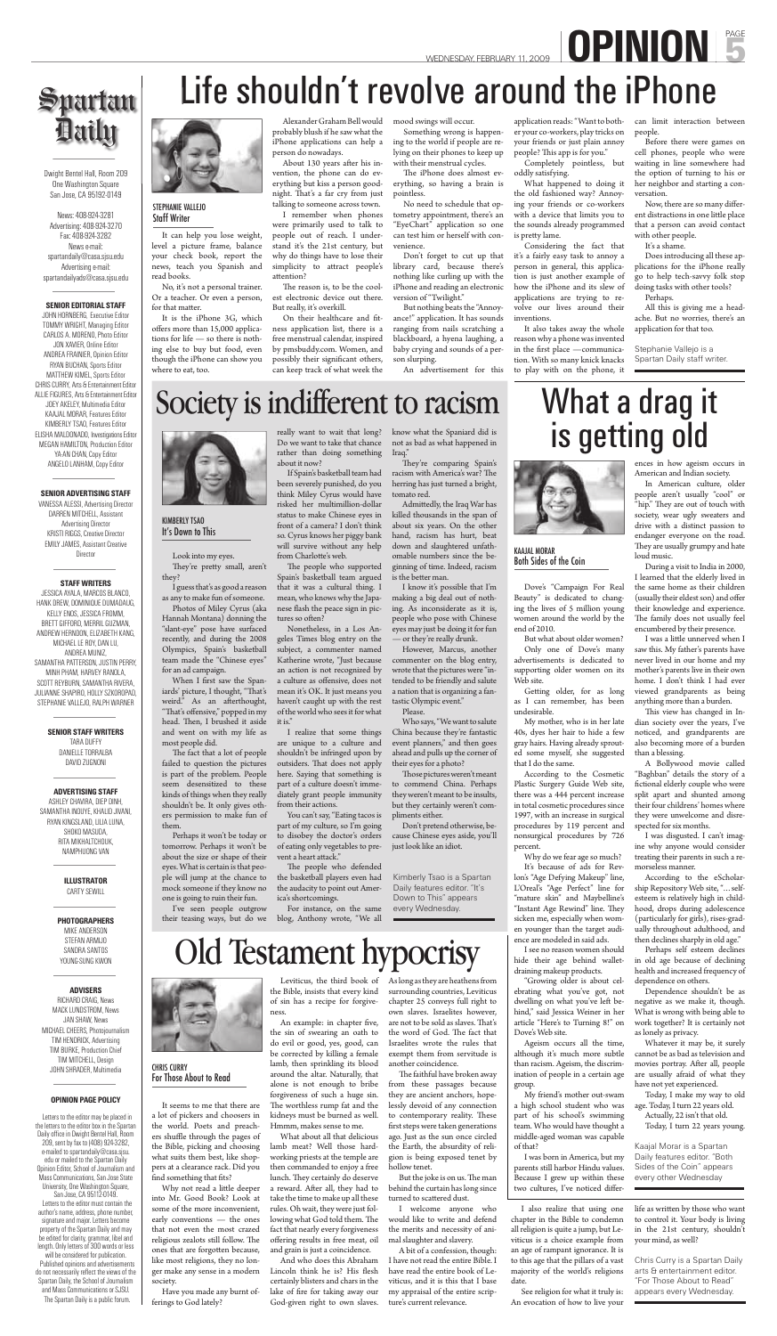Why not read a little deeper into Mr. Good Book? Look at some of the more inconvenient, early conventions — the ones that not even the most crazed religious zealots still follow. The ones that are forgotten because, like most religions, they no longer make any sense in a modern society.

An example: in chapter five, the sin of swearing an oath to do evil or good, yes, good, can be corrected by killing a female lamb, then sprinkling its blood around the altar. Naturally, that alone is not enough to bribe forgiveness of such a huge sin. The worthless rump fat and the kidneys must be burned as well. Hmmm, makes sense to me.

Have you made any burnt offerings to God lately?

the Bible, insists that every kind of sin has a recipe for forgiveness.

> The faithful have broken away from these passages because they are ancient anchors, hopelessly devoid of any connection to contemporary reality. These first steps were taken generations ago. Just as the sun once circled the Earth, the absurdity of religion is being exposed tenet by hollow tenet.

But the joke is on us. The man behind the curtain has long since turned to scattered dust.

What about all that delicious lamb meat? Well those hardworking priests at the temple are then commanded to enjoy a free lunch. They certainly do deserve a reward. After all, they had to take the time to make up all these rules. Oh wait, they were just following what God told them. The fact that nearly every forgiveness offering results in free meat, oil and grain is just a coincidence.

Leviticus, the third book of As long as they are heathens from surrounding countries, Leviticus chapter 25 conveys full right to own slaves. Israelites however, are not to be sold as slaves. That's the word of God. The fact that Israelites wrote the rules that exempt them from servitude is another coincidence.

Getting older, for as long as I can remember, has been undesirable.

And who does this Abraham Lincoln think he is? His flesh certainly blisters and chars in the lake of fire for taking away our God-given right to own slaves.

I was born in America, but my parents still harbor Hindu values. Because I grew up within these two cultures, I've noticed differ-

I welcome anyone who would like to write and defend the merits and necessity of animal slaughter and slavery.

A bit of a confession, though: I have not read the entire Bible. I have read the entire book of Leviticus, and it is this that I base my appraisal of the entire scripture's current relevance.

I was a little unnerved when I saw this. My father's parents have never lived in our home and my mother's parents live in their own home. I don't think I had ever viewed grandparents as being anything more than a burden.

This view has changed in Indian society over the years, I've noticed, and grandparents are also becoming more of a burden than a blessing.

Dove's "Campaign For Real Beauty" is dedicated to changing the lives of 5 million young women around the world by the end of 2010.

But what about older women?

Only one of Dove's many advertisements is dedicated to supporting older women on its Web site.

My mother, who is in her late 40s, dyes her hair to hide a few gray hairs. Having already sprouted some myself, she suggested that I do the same.

According to the Cosmetic

Plastic Surgery Guide Web site, there was a 444 percent increase in total cosmetic procedures since 1997, with an increase in surgical procedures by 119 percent and nonsurgical procedures by 726 percent.

No, it's not a personal trainer. Or a teacher. Or even a person, for that matter.

> Why do we fear age so much? It's because of ads for Revlon's "Age Defying Makeup" line, L'Oreal's "Age Perfect" line for "mature skin" and Maybelline's "Instant Age Rewind" line. They sicken me, especially when women younger than the target audience are modeled in said ads.

About 130 years after his invention, the phone can do everything but kiss a person goodnight. That's a far cry from just talking to someone across town.

I remember when phones were primarily used to talk to people out of reach. I understand it's the 21st century, but why do things have to lose their simplicity to attract people's attention?

The reason is, to be the coolest electronic device out there. But really, it's overkill.

> I see no reason women should hide their age behind walletdraining makeup products.

On their healthcare and fitness application list, there is a free menstrual calendar, inspired by pmsbuddy.com. Women, and possibly their significant others, can keep track of what week the

> "Growing older is about celebrating what you've got, not dwelling on what you've left behind," said Jessica Weiner in her article "Here's to Turning 8!" on Dove's Web site.

Ageism occurs all the time, although it's much more subtle than racism. Ageism, the discrimination of people in a certain age group.

application reads: "Want to bother your co-workers, play tricks on people. your friends or just plain annoy people? This app is for you."

My friend's mother out-swam a high school student who was part of his school's swimming team. Who would have thought a middle-aged woman was capable of that?

What happened to doing it the old fashioned way? Annoying your friends or co-workers with a device that limits you to the sounds already programmed is pretty lame.

> ences in how ageism occurs in American and Indian society.

> In American culture, older people aren't usually "cool" or "hip." They are out of touch with society, wear ugly sweaters and drive with a distinct passion to endanger everyone on the road. They are usually grumpy and hate loud music.

> Now, there are so many different distractions in one little place that a person can avoid contact with other people.

> During a visit to India in 2000, I learned that the elderly lived in the same home as their children (usually their eldest son) and offer their knowledge and experience. The family does not usually feel encumbered by their presence.

When I first saw the Spaniards' picture, I thought, "That's weird." As an afterthought, "That's offensive," popped in my head. Then, I brushed it aside and went on with my life as most people did.

The fact that a lot of people failed to question the pictures is part of the problem. People seem desensitized to these kinds of things when they really shouldn't be. It only gives others permission to make fun of them.

If Spain's basketball team had been severely punished, do you think Miley Cyrus would have risked her multimillion-dollar status to make Chinese eyes in front of a camera? I don't think so. Cyrus knows her piggy bank will survive without any help from Charlotte's web.

The people who supported Spain's basketball team argued that it was a cultural thing. I mean, who knows why the Japanese flash the peace sign in pictures so often?

> A Bollywood movie called "Baghban" details the story of a fictional elderly couple who were split apart and shunted among their four childrens' homes where they were unwelcome and disrespected for six months.

I was disgusted. I can't imagine why anyone would consider treating their parents in such a remorseless manner.

According to the eScholarship Repository Web site, "…selfesteem is relatively high in childhood, drops during adolescence (particularly for girls), rises-gradually throughout adulthood, and then declines sharply in old age."

You can't say, "Eating tacos is part of my culture, so I'm going to disobey the doctor's orders of eating only vegetables to prevent a heart attack."

> Perhaps self esteem declines in old age because of declining health and increased frequency of dependence on others.

The people who defended the basketball players even had the audacity to point out America's shortcomings.

know what the Spaniard did is not as bad as what happened in Iraq." They're comparing Spain's

> Dependence shouldn't be as negative as we make it, though. What is wrong with being able to work together? It is certainly not as lonely as privacy.

racism with America's war? The herring has just turned a bright, tomato red.

Admittedly, the Iraq War has killed thousands in the span of about six years. On the other hand, racism has hurt, beat down and slaughtered unfathomable numbers since the beginning of time. Indeed, racism is the better man.

> Whatever it may be, it surely cannot be as bad as television and movies portray. After all, people are usually afraid of what they have not yet experienced.

> Today, I make my way to old age. Today, I turn 22 years old.

Actually, 22 isn't that old. Today, I turn 22 years young.

It can help you lose weight, level a picture frame, balance your check book, report the news, teach you Spanish and read books.

> Those pictures weren't meant to commend China. Perhaps they weren't meant to be insults, but they certainly weren't compliments either.

#### STEPHANIE VALLEJO<br>Staff Writer Staff Writer

It is the iPhone 3G, which offers more than 15,000 applications for life — so there is nothing else to buy but food, even though the iPhone can show you where to eat, too.

#### **KIMBERLY TSAO** It's Down to This It's Down to This

Alexander Graham Bell would probably blush if he saw what the iPhone applications can help a person do nowadays.

> life as written by those who want to control it. Your body is living in the 21st century, shouldn't your mind, as well?

VANESSA ALESSI, Advertising Director DARREN MITCHELL, Assistant Advertising Director KRISTI RIGGS, Creative Director EMILY JAMES, Assistant Creative **Director** 

mood swings will occur. Something wrong is happening to the world if people are re-

lying on their phones to keep up with their menstrual cycles. The iPhone does almost everything, so having a brain is pointless.

No need to schedule that optometry appointment, there's an "EyeChart" application so one can test him or herself with convenience.

Don't forget to cut up that library card, because there's nothing like curling up with the iPhone and reading an electronic version of "Twilight."

But nothing beats the "Annoyance!" application. It has sounds ranging from nails scratching a blackboard, a hyena laughing, a baby crying and sounds of a person slurping.

An advertisement for this

Completely pointless, but oddly satisfying.

Spartan *Baily* 

> Considering the fact that it's a fairly easy task to annoy a person in general, this application is just another example of how the iPhone and its slew of applications are trying to revolve our lives around their inventions.

> It also takes away the whole reason why a phone was invented in the first place —communication. With so many knick knacks to play with on the phone, it

can limit interaction between

Before there were games on cell phones, people who were waiting in line somewhere had the option of turning to his or her neighbor and starting a conversation.

It's a shame.

Does introducing all these applications for the iPhone really go to help tech-savvy folk stop doing tasks with other tools? Perhaps.

All this is giving me a headache. But no worries, there's an application for that too.

Look into my eyes. They're pretty small, aren't they?

I guess that's as good a reason as any to make fun of someone.

Photos of Miley Cyrus (aka Hannah Montana) donning the "slant-eye" pose have surfaced recently, and during the 2008 Olympics, Spain's basketball team made the "Chinese eyes" for an ad campaign.

Perhaps it won't be today or tomorrow. Perhaps it won't be about the size or shape of their eyes. What is certain is that people will jump at the chance to mock someone if they know no one is going to ruin their fun.

I've seen people outgrow their teasing ways, but do we really want to wait that long? Do we want to take that chance rather than doing something about it now?

Nonetheless, in a Los Angeles Times blog entry on the subject, a commenter named Katherine wrote, "Just because an action is not recognized by a culture as offensive, does not mean it's OK. It just means you haven't caught up with the rest of the world who sees it for what it is."

I realize that some things are unique to a culture and shouldn't be infringed upon by outsiders. That does not apply here. Saying that something is part of a culture doesn't immediately grant people immunity from their actions.

For instance, on the same blog, Anthony wrote, "We all

I know it's possible that I'm making a big deal out of nothing. As inconsiderate as it is, people who pose with Chinese eyes may just be doing it for fun — or they're really drunk.

However, Marcus, another commenter on the blog entry, wrote that the pictures were "intended to be friendly and salute a nation that is organizing a fantastic Olympic event." Please.

Who says, "We want to salute China because they're fantastic event planners," and then goes ahead and pulls up the corner of their eyes for a photo?

Don't pretend otherwise, because Chinese eyes aside, you'll just look like an idiot.

Stephanie Vallejo is a Spartan Daily staff writer.

# Society is indifferent to racism



Kimberly Tsao is a Spartan Daily features editor. "It's Down to This" appears every Wednesday.

Old Testament hypocrisy



**CHRIS CURRY** For Those About to Read <u>For those about to Read</u>

It seems to me that there are a lot of pickers and choosers in the world. Poets and preachers shuffle through the pages of the Bible, picking and choosing what suits them best, like shoppers at a clearance rack. Did you find something that fits?

# Life shouldn't revolve around the iPhone

KAAJAL MORAR Both Sides of the Coin

What a drag it is getting old

> Kaajal Morar is a Spartan Daily features editor. "Both Sides of the Coin" appears every other Wednesday

I also realize that using one chapter in the Bible to condemn all religion is quite a jump, but Leviticus is a choice example from an age of rampant ignorance. It is to this age that the pillars of a vast majority of the world's religions date.

See religion for what it truly is: An evocation of how to live your Chris Curry is a Spartan Daily arts & entertainment editor. "For Those About to Read" appears every Wednesday.

Dwight Bentel Hall, Room 209 One Washington Square San Jose, CA 95192-0149

News: 408-924-3281 Advertising: 408-924-3270 Fax: 408-924-3282 News e-mail: spartandaily@casa.sjsu.edu Advertising e-mail: spartandailyads@casa.sjsu.edu

#### **SENIOR EDITORIAL STAFF**

JOHN HORNBERG, Executive Editor TOMMY WRIGHT, Managing Editor CARLOS A. MORENO, Photo Editor JON XAVIER, Online Editor ANDREA FRAINIER, Opinion Editor RYAN BUCHAN, Sports Editor MATTHEW KIMEL, Sports Editor CHRIS CURRY, Arts & Entertainment Editor ALLIE FIGURES, Arts & Entertainment Editor JOEY AKELEY, Multimedia Editor KAAJAL MORAR, Features Editor KIMBERLY TSAO, Features Editor ELISHA MALDONADO, Investigations Editor MEGAN HAMILTON, Production Editor YA-AN CHAN, Copy Editor ANGELO LANHAM, Copy Editor

#### **SENIOR ADVERTISING STAFF**

#### **STAFF WRITERS**

JESSICA AYALA, MARCOS BLANCO, HANK DREW, DOMINIQUE DUMADAUG, KELLY ENOS, JESSICA FROMM, BRETT GIFFORD, MERRIL GUZMAN, ANDREW HERNDON, ELIZABETH KANG, MICHAEL LE ROY, DAN LU, ANDREA MUNIZ, SAMANTHA PATTERSON, JUSTIN PERRY, MINH PHAM, HARVEY RANOLA, SCOTT REYBURN, SAMANTHA RIVERA JULIANNE SHAPIRO, HOLLY SZKOROPAD, STEPHANIE VALLEJO, RALPH WARNER

> **SENIOR STAFF WRITERS** TARA DUFFY DANIELLE TORRALBA DAVID ZUGNONI



**ADVERTISING STAFF** ASHLEY CHAVIRA, DIEP DINH, SAMANTHA INOUYE, KHALID JIVANI, RYAN KINGSLAND, LILIA LUNA, SHOKO MASUDA, RITA MIKHALTCHOUK, NAMPHUONG VAN

#### **ILLUSTRATOR** CARTY SEWILL

**PHOTOGRAPHERS** MIKE ANDERSON STEFAN ARMIJO SANDRA SANTOS YOUNG-SUNG KWON

**ADVISERS**

RICHARD CRAIG, News MACK LUNDSTROM, News JAN SHAW, News MICHAEL CHEERS, Photojournalism TIM HENDRICK, Advertising TIM BURKE, Production Chief TIM MITCHELL, Design JOHN SHRADER, Multimedia

#### **OPINION PAGE POLICY**

 Letters to the editor may be placed in the letters to the editor box in the Spartan Daily office in Dwight Bentel Hall, Room 209, sent by fax to (408) 924-3282, e-mailed to spartandaily@casa.sjsu. edu or mailed to the Spartan Daily Opinion Editor, School of Journalism and Mass Communications, San Jose State University, One Washington Square, San Jose, CA 95112-0149.

 Letters to the editor must contain the author's name, address, phone number, signature and major. Letters become property of the Spartan Daily and may be edited for clarity, grammar, libel and length. Only letters of 300 words or less

will be considered for publication. Published opinions and advertisements do not necessarily reflect the views of the Spartan Daily, the School of Journalism and Mass Communications or SJSU. The Spartan Daily is a public forum.